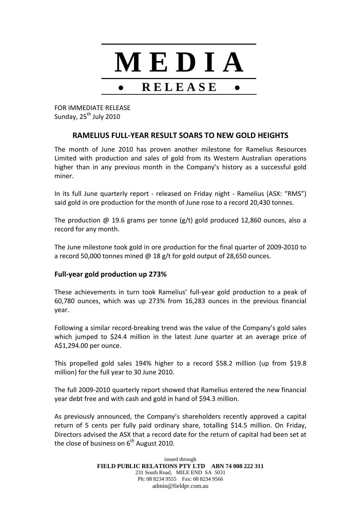

FOR IMMEDIATE RELEASE Sunday, 25<sup>th</sup> July 2010

## **RAMELIUS FULL‐YEAR RESULT SOARS TO NEW GOLD HEIGHTS**

The month of June 2010 has proven another milestone for Ramelius Resources Limited with production and sales of gold from its Western Australian operations higher than in any previous month in the Company's history as a successful gold miner.

In its full June quarterly report - released on Friday night - Ramelius (ASX: "RMS") said gold in ore production for the month of June rose to a record 20,430 tonnes.

The production  $\omega$  19.6 grams per tonne (g/t) gold produced 12,860 ounces, also a record for any month.

The June milestone took gold in ore production for the final quarter of 2009‐2010 to a record 50,000 tonnes mined @ 18 g/t for gold output of 28,650 ounces.

## **Full‐year gold production up 273%**

These achievements in turn took Ramelius' full‐year gold production to a peak of 60,780 ounces, which was up 273% from 16,283 ounces in the previous financial year.

Following a similar record‐breaking trend was the value of the Company's gold sales which jumped to \$24.4 million in the latest June quarter at an average price of A\$1,294.00 per ounce.

This propelled gold sales 194% higher to a record \$58.2 million (up from \$19.8 million) for the full year to 30 June 2010.

The full 2009‐2010 quarterly report showed that Ramelius entered the new financial year debt free and with cash and gold in hand of \$94.3 million.

As previously announced, the Company's shareholders recently approved a capital return of 5 cents per fully paid ordinary share, totalling \$14.5 million. On Friday, Directors advised the ASX that a record date for the return of capital had been set at the close of business on  $6<sup>th</sup>$  August 2010.

> issued through **FIELD PUBLIC RELATIONS PTY LTD ABN 74 008 222 311**  231 South Road, MILE END SA 5031 Ph: 08 8234 9555 Fax: 08 8234 9566 admin@fieldpr.com.au